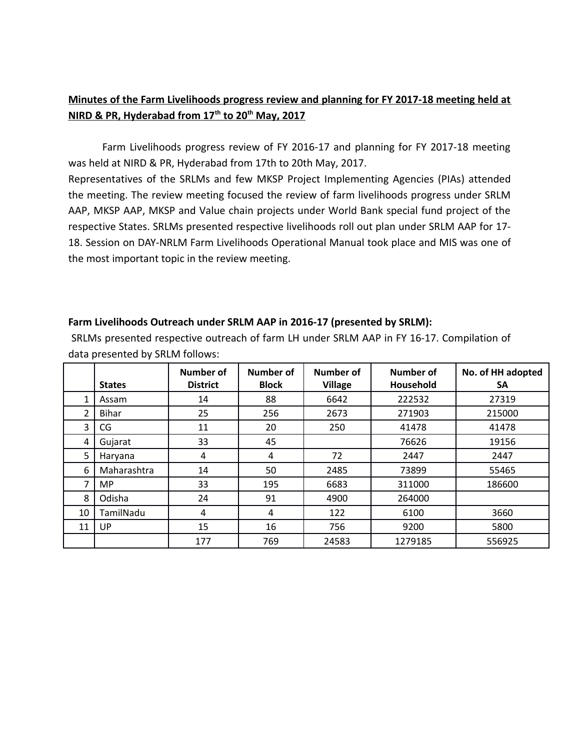# **Minutes of the Farm Livelihoods progress review and planning for FY 2017-18 meeting held at NIRD & PR, Hyderabad from 17th to 20th May, 2017**

Farm Livelihoods progress review of FY 2016-17 and planning for FY 2017-18 meeting was held at NIRD & PR, Hyderabad from 17th to 20th May, 2017.

Representatives of the SRLMs and few MKSP Project Implementing Agencies (PIAs) attended the meeting. The review meeting focused the review of farm livelihoods progress under SRLM AAP, MKSP AAP, MKSP and Value chain projects under World Bank special fund project of the respective States. SRLMs presented respective livelihoods roll out plan under SRLM AAP for 17- 18. Session on DAY-NRLM Farm Livelihoods Operational Manual took place and MIS was one of the most important topic in the review meeting.

## **Farm Livelihoods Outreach under SRLM AAP in 2016-17 (presented by SRLM):**

 SRLMs presented respective outreach of farm LH under SRLM AAP in FY 16-17. Compilation of data presented by SRLM follows:

|    | <b>States</b> | Number of<br><b>District</b> | Number of<br><b>Block</b> | Number of<br><b>Village</b> | Number of<br>Household | No. of HH adopted<br><b>SA</b> |
|----|---------------|------------------------------|---------------------------|-----------------------------|------------------------|--------------------------------|
|    |               |                              |                           |                             |                        |                                |
| 1  | Assam         | 14                           | 88                        | 6642                        | 222532                 | 27319                          |
| 2  | Bihar         | 25                           | 256                       | 2673                        | 271903                 | 215000                         |
| 3  | CG            | 11                           | 20                        | 250                         | 41478                  | 41478                          |
| 4  | Gujarat       | 33                           | 45                        |                             | 76626                  | 19156                          |
| 5  | Haryana       | 4                            | 4                         | 72                          | 2447                   | 2447                           |
| 6  | Maharashtra   | 14                           | 50                        | 2485                        | 73899                  | 55465                          |
| 7  | <b>MP</b>     | 33                           | 195                       | 6683                        | 311000                 | 186600                         |
| 8  | Odisha        | 24                           | 91                        | 4900                        | 264000                 |                                |
| 10 | TamilNadu     | 4                            | 4                         | 122                         | 6100                   | 3660                           |
| 11 | UP            | 15                           | 16                        | 756                         | 9200                   | 5800                           |
|    |               | 177                          | 769                       | 24583                       | 1279185                | 556925                         |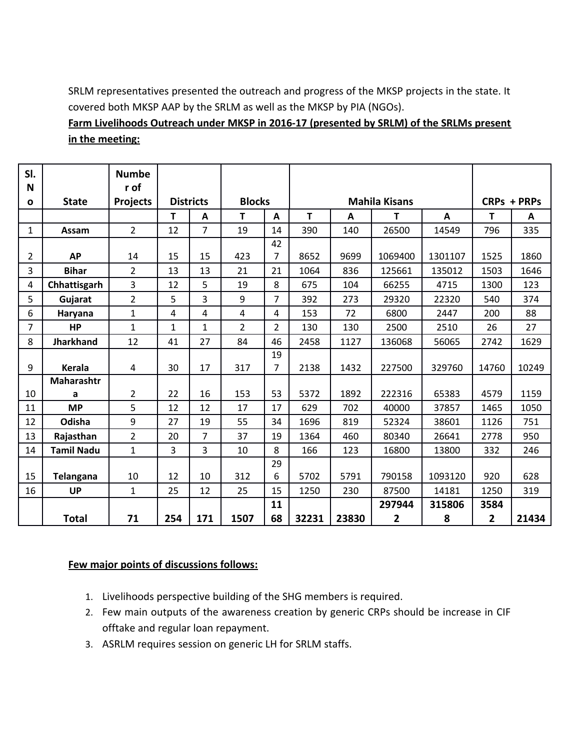SRLM representatives presented the outreach and progress of the MKSP projects in the state. It covered both MKSP AAP by the SRLM as well as the MKSP by PIA (NGOs).

**Farm Livelihoods Outreach under MKSP in 2016-17 (presented by SRLM) of the SRLMs present in the meeting:**

| SI.<br>N       |                   | <b>Numbe</b><br>r of |                |                  |                |                |                      |       |         |             |       |       |
|----------------|-------------------|----------------------|----------------|------------------|----------------|----------------|----------------------|-------|---------|-------------|-------|-------|
| $\mathbf{o}$   | <b>State</b>      | <b>Projects</b>      |                | <b>Districts</b> | <b>Blocks</b>  |                | <b>Mahila Kisans</b> |       |         | CRPs + PRPs |       |       |
|                |                   |                      | T.             | A                | Т              | A              | T                    | A     | т       | A           | T     | A     |
| $\mathbf{1}$   | Assam             | $\overline{2}$       | 12             | $\overline{7}$   | 19             | 14             | 390                  | 140   | 26500   | 14549       | 796   | 335   |
|                |                   |                      |                |                  |                | 42             |                      |       |         |             |       |       |
| 2              | <b>AP</b>         | 14                   | 15             | 15               | 423            | 7              | 8652                 | 9699  | 1069400 | 1301107     | 1525  | 1860  |
| $\overline{3}$ | <b>Bihar</b>      | 2                    | 13             | 13               | 21             | 21             | 1064                 | 836   | 125661  | 135012      | 1503  | 1646  |
| 4              | Chhattisgarh      | 3                    | 12             | 5                | 19             | 8              | 675                  | 104   | 66255   | 4715        | 1300  | 123   |
| 5              | Gujarat           | $\overline{2}$       | 5              | 3                | 9              | $\overline{7}$ | 392                  | 273   | 29320   | 22320       | 540   | 374   |
| 6              | Haryana           | $\mathbf{1}$         | 4              | 4                | 4              | 4              | 153                  | 72    | 6800    | 2447        | 200   | 88    |
| 7              | <b>HP</b>         | 1                    | $\mathbf{1}$   | $\mathbf{1}$     | $\overline{2}$ | $\overline{2}$ | 130                  | 130   | 2500    | 2510        | 26    | 27    |
| 8              | <b>Jharkhand</b>  | 12                   | 41             | 27               | 84             | 46             | 2458                 | 1127  | 136068  | 56065       | 2742  | 1629  |
|                |                   |                      |                |                  |                | 19             |                      |       |         |             |       |       |
| 9              | <b>Kerala</b>     | $\overline{4}$       | 30             | 17               | 317            | 7              | 2138                 | 1432  | 227500  | 329760      | 14760 | 10249 |
|                | Maharashtr        |                      |                |                  |                |                |                      |       |         |             |       |       |
| 10             | a                 | 2                    | 22             | 16               | 153            | 53             | 5372                 | 1892  | 222316  | 65383       | 4579  | 1159  |
| 11             | <b>MP</b>         | 5                    | 12             | 12               | 17             | 17             | 629                  | 702   | 40000   | 37857       | 1465  | 1050  |
| 12             | Odisha            | 9                    | 27             | 19               | 55             | 34             | 1696                 | 819   | 52324   | 38601       | 1126  | 751   |
| 13             | Rajasthan         | $\overline{2}$       | 20             | $\overline{7}$   | 37             | 19             | 1364                 | 460   | 80340   | 26641       | 2778  | 950   |
| 14             | <b>Tamil Nadu</b> | $\mathbf{1}$         | $\overline{3}$ | 3                | 10             | 8              | 166                  | 123   | 16800   | 13800       | 332   | 246   |
|                |                   |                      |                |                  |                | 29             |                      |       |         |             |       |       |
| 15             | <b>Telangana</b>  | 10                   | 12             | 10               | 312            | 6              | 5702                 | 5791  | 790158  | 1093120     | 920   | 628   |
| 16             | <b>UP</b>         | $\mathbf{1}$         | 25             | 12               | 25             | 15             | 1250                 | 230   | 87500   | 14181       | 1250  | 319   |
|                |                   |                      |                |                  |                | 11             |                      |       | 297944  | 315806      | 3584  |       |
|                | <b>Total</b>      | 71                   | 254            | 171              | 1507           | 68             | 32231                | 23830 | 2       | 8           | 2     | 21434 |

# **Few major points of discussions follows:**

- 1. Livelihoods perspective building of the SHG members is required.
- 2. Few main outputs of the awareness creation by generic CRPs should be increase in CIF offtake and regular loan repayment.
- 3. ASRLM requires session on generic LH for SRLM staffs.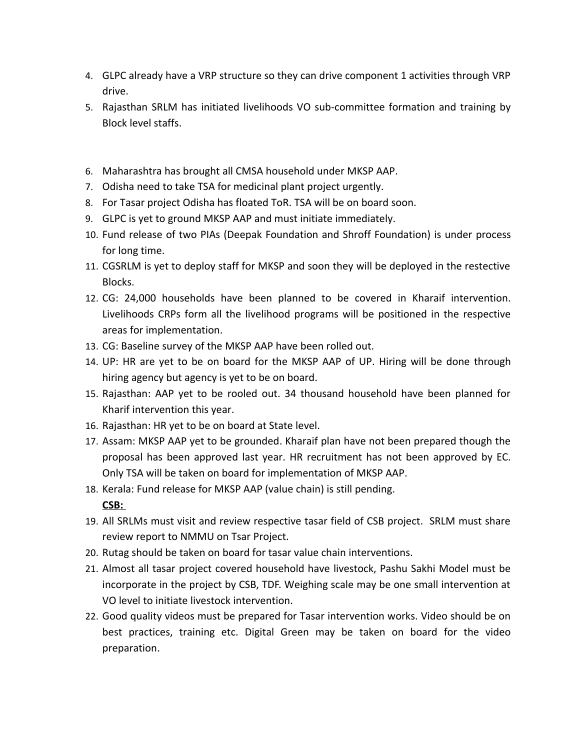- 4. GLPC already have a VRP structure so they can drive component 1 activities through VRP drive.
- 5. Rajasthan SRLM has initiated livelihoods VO sub-committee formation and training by Block level staffs.
- 6. Maharashtra has brought all CMSA household under MKSP AAP.
- 7. Odisha need to take TSA for medicinal plant project urgently.
- 8. For Tasar project Odisha has floated ToR. TSA will be on board soon.
- 9. GLPC is yet to ground MKSP AAP and must initiate immediately.
- 10. Fund release of two PIAs (Deepak Foundation and Shroff Foundation) is under process for long time.
- 11. CGSRLM is yet to deploy staff for MKSP and soon they will be deployed in the restective Blocks.
- 12. CG: 24,000 households have been planned to be covered in Kharaif intervention. Livelihoods CRPs form all the livelihood programs will be positioned in the respective areas for implementation.
- 13. CG: Baseline survey of the MKSP AAP have been rolled out.
- 14. UP: HR are yet to be on board for the MKSP AAP of UP. Hiring will be done through hiring agency but agency is yet to be on board.
- 15. Rajasthan: AAP yet to be rooled out. 34 thousand household have been planned for Kharif intervention this year.
- 16. Rajasthan: HR yet to be on board at State level.
- 17. Assam: MKSP AAP yet to be grounded. Kharaif plan have not been prepared though the proposal has been approved last year. HR recruitment has not been approved by EC. Only TSA will be taken on board for implementation of MKSP AAP.
- 18. Kerala: Fund release for MKSP AAP (value chain) is still pending. **CSB:**
- 19. All SRLMs must visit and review respective tasar field of CSB project. SRLM must share review report to NMMU on Tsar Project.
- 20. Rutag should be taken on board for tasar value chain interventions.
- 21. Almost all tasar project covered household have livestock, Pashu Sakhi Model must be incorporate in the project by CSB, TDF. Weighing scale may be one small intervention at VO level to initiate livestock intervention.
- 22. Good quality videos must be prepared for Tasar intervention works. Video should be on best practices, training etc. Digital Green may be taken on board for the video preparation.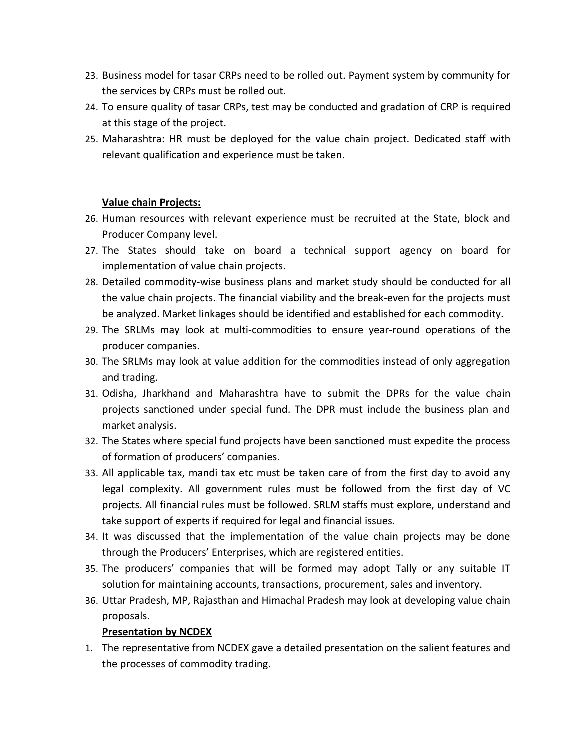- 23. Business model for tasar CRPs need to be rolled out. Payment system by community for the services by CRPs must be rolled out.
- 24. To ensure quality of tasar CRPs, test may be conducted and gradation of CRP is required at this stage of the project.
- 25. Maharashtra: HR must be deployed for the value chain project. Dedicated staff with relevant qualification and experience must be taken.

## **Value chain Projects:**

- 26. Human resources with relevant experience must be recruited at the State, block and Producer Company level.
- 27. The States should take on board a technical support agency on board for implementation of value chain projects.
- 28. Detailed commodity-wise business plans and market study should be conducted for all the value chain projects. The financial viability and the break-even for the projects must be analyzed. Market linkages should be identified and established for each commodity.
- 29. The SRLMs may look at multi-commodities to ensure year-round operations of the producer companies.
- 30. The SRLMs may look at value addition for the commodities instead of only aggregation and trading.
- 31. Odisha, Jharkhand and Maharashtra have to submit the DPRs for the value chain projects sanctioned under special fund. The DPR must include the business plan and market analysis.
- 32. The States where special fund projects have been sanctioned must expedite the process of formation of producers' companies.
- 33. All applicable tax, mandi tax etc must be taken care of from the first day to avoid any legal complexity. All government rules must be followed from the first day of VC projects. All financial rules must be followed. SRLM staffs must explore, understand and take support of experts if required for legal and financial issues.
- 34. It was discussed that the implementation of the value chain projects may be done through the Producers' Enterprises, which are registered entities.
- 35. The producers' companies that will be formed may adopt Tally or any suitable IT solution for maintaining accounts, transactions, procurement, sales and inventory.
- 36. Uttar Pradesh, MP, Rajasthan and Himachal Pradesh may look at developing value chain proposals.

# **Presentation by NCDEX**

1. The representative from NCDEX gave a detailed presentation on the salient features and the processes of commodity trading.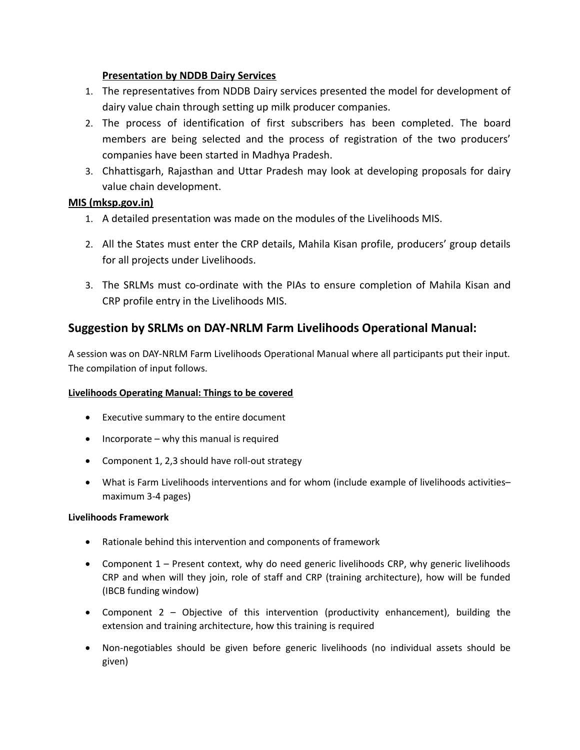## **Presentation by NDDB Dairy Services**

- 1. The representatives from NDDB Dairy services presented the model for development of dairy value chain through setting up milk producer companies.
- 2. The process of identification of first subscribers has been completed. The board members are being selected and the process of registration of the two producers' companies have been started in Madhya Pradesh.
- 3. Chhattisgarh, Rajasthan and Uttar Pradesh may look at developing proposals for dairy value chain development.

## **MIS (mksp.gov.in)**

- 1. A detailed presentation was made on the modules of the Livelihoods MIS.
- 2. All the States must enter the CRP details, Mahila Kisan profile, producers' group details for all projects under Livelihoods.
- 3. The SRLMs must co-ordinate with the PIAs to ensure completion of Mahila Kisan and CRP profile entry in the Livelihoods MIS.

# **Suggestion by SRLMs on DAY-NRLM Farm Livelihoods Operational Manual:**

A session was on DAY-NRLM Farm Livelihoods Operational Manual where all participants put their input. The compilation of input follows.

## **Livelihoods Operating Manual: Things to be covered**

- Executive summary to the entire document
- $\bullet$  Incorporate why this manual is required
- Component 1, 2,3 should have roll-out strategy
- What is Farm Livelihoods interventions and for whom (include example of livelihoods activities– maximum 3-4 pages)

## **Livelihoods Framework**

- Rationale behind this intervention and components of framework
- Component 1 Present context, why do need generic livelihoods CRP, why generic livelihoods CRP and when will they join, role of staff and CRP (training architecture), how will be funded (IBCB funding window)
- Component 2 Objective of this intervention (productivity enhancement), building the extension and training architecture, how this training is required
- Non-negotiables should be given before generic livelihoods (no individual assets should be given)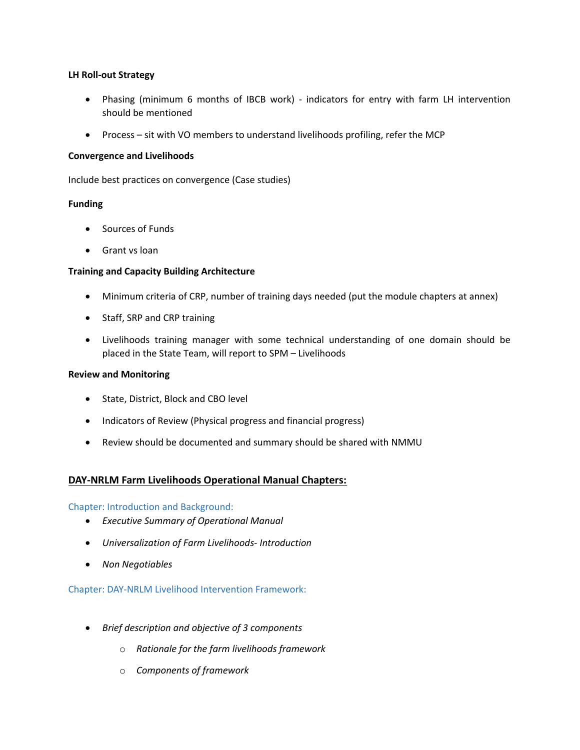### **LH Roll-out Strategy**

- Phasing (minimum 6 months of IBCB work) indicators for entry with farm LH intervention should be mentioned
- Process sit with VO members to understand livelihoods profiling, refer the MCP

#### **Convergence and Livelihoods**

Include best practices on convergence (Case studies)

#### **Funding**

- Sources of Funds
- **•** Grant vs loan

#### **Training and Capacity Building Architecture**

- Minimum criteria of CRP, number of training days needed (put the module chapters at annex)
- Staff, SRP and CRP training
- Livelihoods training manager with some technical understanding of one domain should be placed in the State Team, will report to SPM – Livelihoods

#### **Review and Monitoring**

- State, District, Block and CBO level
- Indicators of Review (Physical progress and financial progress)
- Review should be documented and summary should be shared with NMMU

## **DAY-NRLM Farm Livelihoods Operational Manual Chapters:**

#### Chapter: Introduction and Background:

- *Executive Summary of Operational Manual*
- *Universalization of Farm Livelihoods- Introduction*
- *Non Negotiables*

Chapter: DAY-NRLM Livelihood Intervention Framework:

- *Brief description and objective of 3 components*
	- o *Rationale for the farm livelihoods framework*
	- o *Components of framework*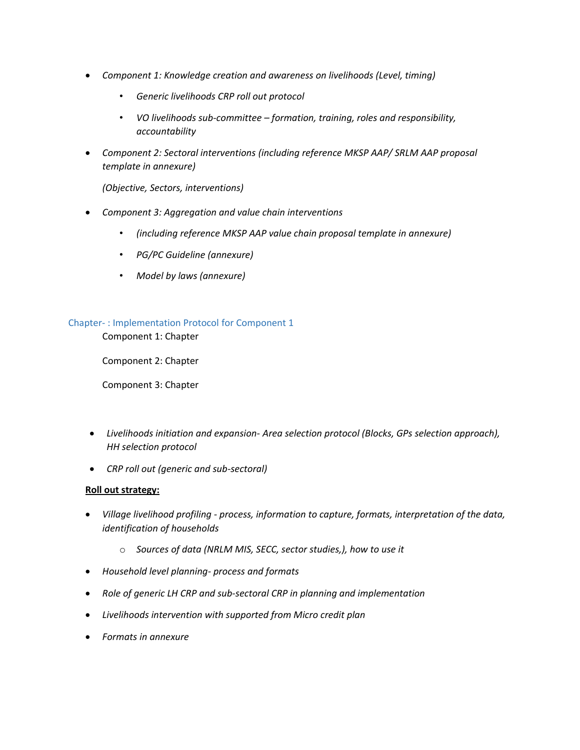- *Component 1: Knowledge creation and awareness on livelihoods (Level, timing)* 
	- *Generic livelihoods CRP roll out protocol*
	- *VO livelihoods sub-committee formation, training, roles and responsibility, accountability*
- *Component 2: Sectoral interventions (including reference MKSP AAP/ SRLM AAP proposal template in annexure)*

*(Objective, Sectors, interventions)*

- *Component 3: Aggregation and value chain interventions*
	- *(including reference MKSP AAP value chain proposal template in annexure)*
	- *PG/PC Guideline (annexure)*
	- *Model by laws (annexure)*

#### Chapter- : Implementation Protocol for Component 1

Component 1: Chapter

Component 2: Chapter

Component 3: Chapter

- *Livelihoods initiation and expansion- Area selection protocol (Blocks, GPs selection approach), HH selection protocol*
- *CRP roll out (generic and sub-sectoral)*

#### **Roll out strategy:**

- *Village livelihood profiling process, information to capture, formats, interpretation of the data, identification of households*
	- o *Sources of data (NRLM MIS, SECC, sector studies,), how to use it*
- *Household level planning- process and formats*
- *Role of generic LH CRP and sub-sectoral CRP in planning and implementation*
- *Livelihoods intervention with supported from Micro credit plan*
- *Formats in annexure*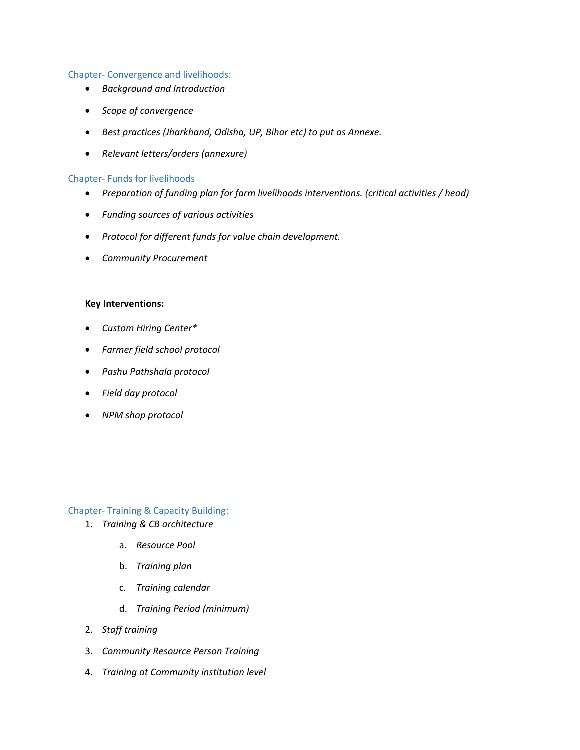#### Chapter- Convergence and livelihoods:

- *Background and Introduction*
- *Scope of convergence*
- *Best practices (Jharkhand, Odisha, UP, Bihar etc) to put as Annexe.*
- *Relevant letters/orders (annexure)*

#### Chapter- Funds for livelihoods

- *Preparation of funding plan for farm livelihoods interventions. (critical activities / head)*
- *Funding sources of various activities*
- *Protocol for different funds for value chain development.*
- *Community Procurement*

#### **Key Interventions:**

- *Custom Hiring Center\**
- *Farmer field school protocol*
- *Pashu Pathshala protocol*
- *Field day protocol*
- *NPM shop protocol*

## Chapter- Training & Capacity Building:

- 1. *Training & CB architecture*
	- a. *Resource Pool*
	- b. *Training plan*
	- c. *Training calendar*
	- d. *Training Period (minimum)*
- 2. *Staff training*
- 3. *Community Resource Person Training*
- 4. *Training at Community institution level*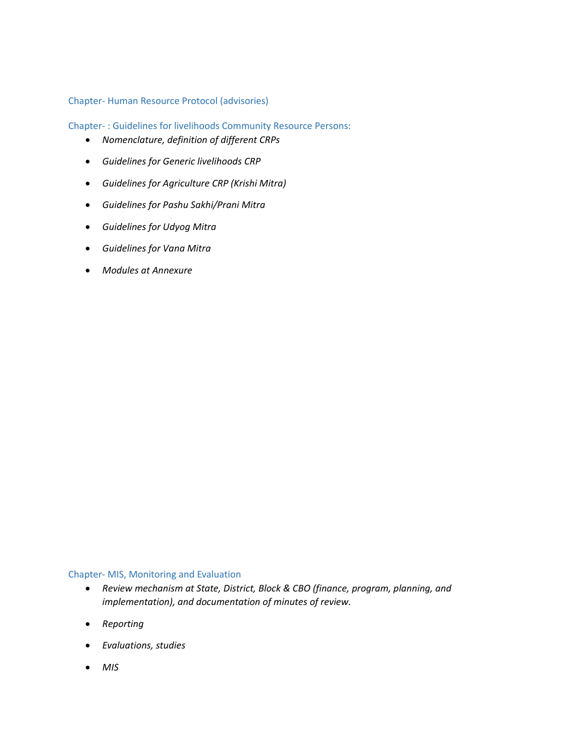## Chapter- Human Resource Protocol (advisories)

Chapter- : Guidelines for livelihoods Community Resource Persons:

- *Nomenclature, definition of different CRPs*
- *Guidelines for Generic livelihoods CRP*
- *Guidelines for Agriculture CRP (Krishi Mitra)*
- *Guidelines for Pashu Sakhi/Prani Mitra*
- *Guidelines for Udyog Mitra*
- *Guidelines for Vana Mitra*
- *Modules at Annexure*

#### Chapter- MIS, Monitoring and Evaluation

- *Review mechanism at State, District, Block & CBO (finance, program, planning, and implementation), and documentation of minutes of review.*
- *Reporting*
- *Evaluations, studies*
- *MIS*